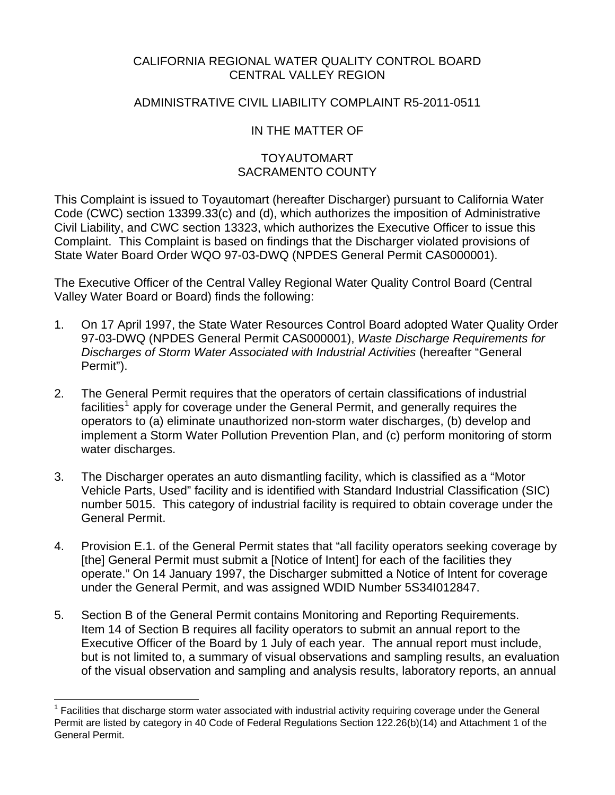## CALIFORNIA REGIONAL WATER QUALITY CONTROL BOARD CENTRAL VALLEY REGION

## ADMINISTRATIVE CIVIL LIABILITY COMPLAINT R5-2011-0511

## IN THE MATTER OF

## TOYAUTOMART SACRAMENTO COUNTY

This Complaint is issued to Toyautomart (hereafter Discharger) pursuant to California Water Code (CWC) section 13399.33(c) and (d), which authorizes the imposition of Administrative Civil Liability, and CWC section 13323, which authorizes the Executive Officer to issue this Complaint. This Complaint is based on findings that the Discharger violated provisions of State Water Board Order WQO 97-03-DWQ (NPDES General Permit CAS000001).

The Executive Officer of the Central Valley Regional Water Quality Control Board (Central Valley Water Board or Board) finds the following:

- 1. On 17 April 1997, the State Water Resources Control Board adopted Water Quality Order 97-03-DWQ (NPDES General Permit CAS000001), *Waste Discharge Requirements for Discharges of Storm Water Associated with Industrial Activities* (hereafter "General Permit").
- 2. The General Permit requires that the operators of certain classifications of industrial facilities<sup>[1](#page-0-0)</sup> apply for coverage under the General Permit, and generally requires the operators to (a) eliminate unauthorized non-storm water discharges, (b) develop and implement a Storm Water Pollution Prevention Plan, and (c) perform monitoring of storm water discharges.
- 3. The Discharger operates an auto dismantling facility, which is classified as a "Motor Vehicle Parts, Used" facility and is identified with Standard Industrial Classification (SIC) number 5015. This category of industrial facility is required to obtain coverage under the General Permit.
- 4. Provision E.1. of the General Permit states that "all facility operators seeking coverage by [the] General Permit must submit a [Notice of Intent] for each of the facilities they operate." On 14 January 1997, the Discharger submitted a Notice of Intent for coverage under the General Permit, and was assigned WDID Number 5S34I012847.
- 5. Section B of the General Permit contains Monitoring and Reporting Requirements. Item 14 of Section B requires all facility operators to submit an annual report to the Executive Officer of the Board by 1 July of each year. The annual report must include, but is not limited to, a summary of visual observations and sampling results, an evaluation of the visual observation and sampling and analysis results, laboratory reports, an annual

<u>.</u>

<span id="page-0-0"></span><sup>1</sup> Facilities that discharge storm water associated with industrial activity requiring coverage under the General Permit are listed by category in 40 Code of Federal Regulations Section 122.26(b)(14) and Attachment 1 of the General Permit.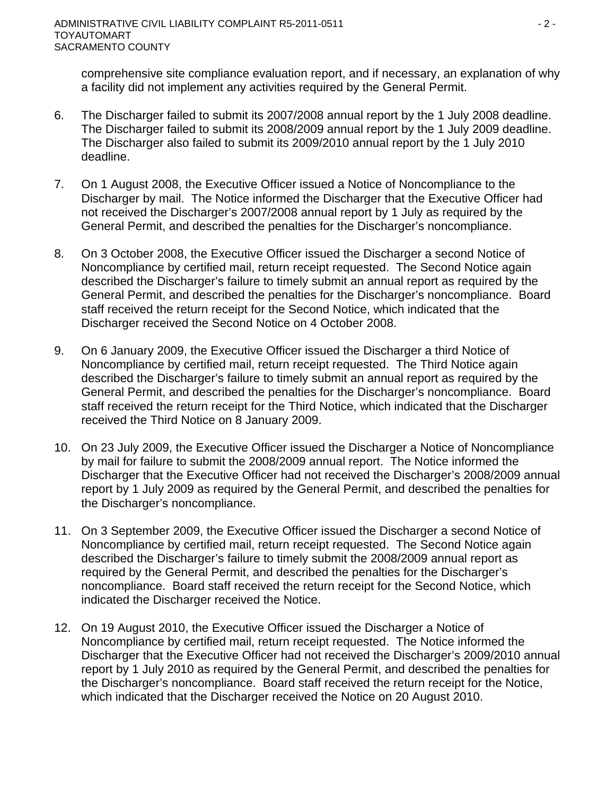comprehensive site compliance evaluation report, and if necessary, an explanation of why a facility did not implement any activities required by the General Permit.

- 6. The Discharger failed to submit its 2007/2008 annual report by the 1 July 2008 deadline. The Discharger failed to submit its 2008/2009 annual report by the 1 July 2009 deadline. The Discharger also failed to submit its 2009/2010 annual report by the 1 July 2010 deadline.
- 7. On 1 August 2008, the Executive Officer issued a Notice of Noncompliance to the Discharger by mail. The Notice informed the Discharger that the Executive Officer had not received the Discharger's 2007/2008 annual report by 1 July as required by the General Permit, and described the penalties for the Discharger's noncompliance.
- 8. On 3 October 2008, the Executive Officer issued the Discharger a second Notice of Noncompliance by certified mail, return receipt requested. The Second Notice again described the Discharger's failure to timely submit an annual report as required by the General Permit, and described the penalties for the Discharger's noncompliance. Board staff received the return receipt for the Second Notice, which indicated that the Discharger received the Second Notice on 4 October 2008.
- 9. On 6 January 2009, the Executive Officer issued the Discharger a third Notice of Noncompliance by certified mail, return receipt requested. The Third Notice again described the Discharger's failure to timely submit an annual report as required by the General Permit, and described the penalties for the Discharger's noncompliance. Board staff received the return receipt for the Third Notice, which indicated that the Discharger received the Third Notice on 8 January 2009.
- 10. On 23 July 2009, the Executive Officer issued the Discharger a Notice of Noncompliance by mail for failure to submit the 2008/2009 annual report. The Notice informed the Discharger that the Executive Officer had not received the Discharger's 2008/2009 annual report by 1 July 2009 as required by the General Permit, and described the penalties for the Discharger's noncompliance.
- 11. On 3 September 2009, the Executive Officer issued the Discharger a second Notice of Noncompliance by certified mail, return receipt requested. The Second Notice again described the Discharger's failure to timely submit the 2008/2009 annual report as required by the General Permit, and described the penalties for the Discharger's noncompliance. Board staff received the return receipt for the Second Notice, which indicated the Discharger received the Notice.
- 12. On 19 August 2010, the Executive Officer issued the Discharger a Notice of Noncompliance by certified mail, return receipt requested. The Notice informed the Discharger that the Executive Officer had not received the Discharger's 2009/2010 annual report by 1 July 2010 as required by the General Permit, and described the penalties for the Discharger's noncompliance. Board staff received the return receipt for the Notice, which indicated that the Discharger received the Notice on 20 August 2010.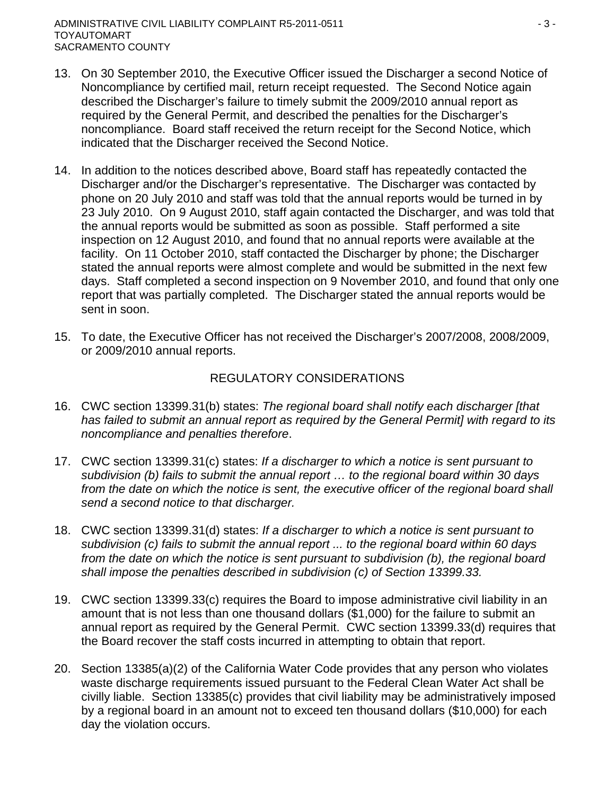- 13. On 30 September 2010, the Executive Officer issued the Discharger a second Notice of Noncompliance by certified mail, return receipt requested. The Second Notice again described the Discharger's failure to timely submit the 2009/2010 annual report as required by the General Permit, and described the penalties for the Discharger's noncompliance. Board staff received the return receipt for the Second Notice, which indicated that the Discharger received the Second Notice.
- 14. In addition to the notices described above, Board staff has repeatedly contacted the Discharger and/or the Discharger's representative. The Discharger was contacted by phone on 20 July 2010 and staff was told that the annual reports would be turned in by 23 July 2010. On 9 August 2010, staff again contacted the Discharger, and was told that the annual reports would be submitted as soon as possible. Staff performed a site inspection on 12 August 2010, and found that no annual reports were available at the facility. On 11 October 2010, staff contacted the Discharger by phone; the Discharger stated the annual reports were almost complete and would be submitted in the next few days. Staff completed a second inspection on 9 November 2010, and found that only one report that was partially completed. The Discharger stated the annual reports would be sent in soon.
- 15. To date, the Executive Officer has not received the Discharger's 2007/2008, 2008/2009, or 2009/2010 annual reports.

### REGULATORY CONSIDERATIONS

- 16. CWC section 13399.31(b) states: *The regional board shall notify each discharger [that has failed to submit an annual report as required by the General Permit] with regard to its noncompliance and penalties therefore*.
- 17. CWC section 13399.31(c) states: *If a discharger to which a notice is sent pursuant to subdivision (b) fails to submit the annual report … to the regional board within 30 days*  from the date on which the notice is sent, the executive officer of the regional board shall *send a second notice to that discharger.*
- 18. CWC section 13399.31(d) states: *If a discharger to which a notice is sent pursuant to subdivision (c) fails to submit the annual report ... to the regional board within 60 days from the date on which the notice is sent pursuant to subdivision (b), the regional board shall impose the penalties described in subdivision (c) of Section 13399.33.*
- 19. CWC section 13399.33(c) requires the Board to impose administrative civil liability in an amount that is not less than one thousand dollars (\$1,000) for the failure to submit an annual report as required by the General Permit. CWC section 13399.33(d) requires that the Board recover the staff costs incurred in attempting to obtain that report.
- 20. Section 13385(a)(2) of the California Water Code provides that any person who violates waste discharge requirements issued pursuant to the Federal Clean Water Act shall be civilly liable. Section 13385(c) provides that civil liability may be administratively imposed by a regional board in an amount not to exceed ten thousand dollars (\$10,000) for each day the violation occurs.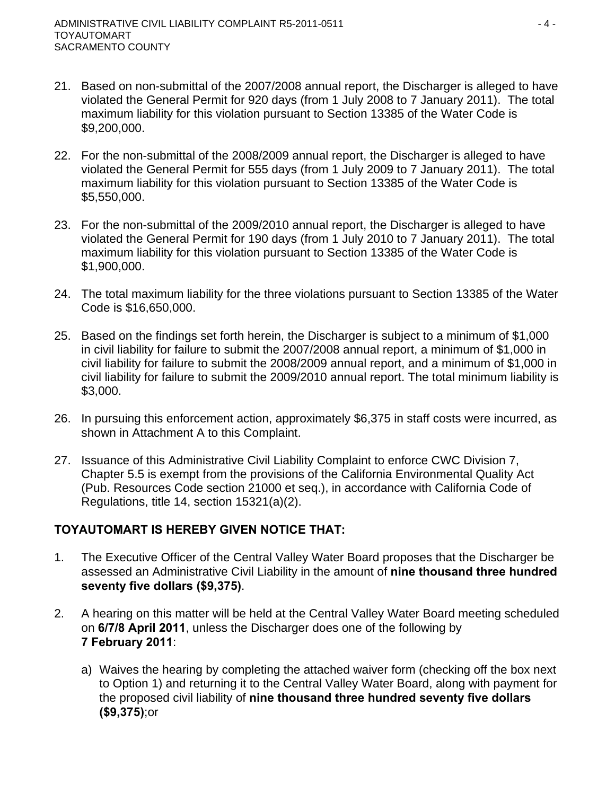- 21. Based on non-submittal of the 2007/2008 annual report, the Discharger is alleged to have violated the General Permit for 920 days (from 1 July 2008 to 7 January 2011). The total maximum liability for this violation pursuant to Section 13385 of the Water Code is \$9,200,000.
- 22. For the non-submittal of the 2008/2009 annual report, the Discharger is alleged to have violated the General Permit for 555 days (from 1 July 2009 to 7 January 2011). The total maximum liability for this violation pursuant to Section 13385 of the Water Code is \$5,550,000.
- 23. For the non-submittal of the 2009/2010 annual report, the Discharger is alleged to have violated the General Permit for 190 days (from 1 July 2010 to 7 January 2011). The total maximum liability for this violation pursuant to Section 13385 of the Water Code is \$1,900,000.
- 24. The total maximum liability for the three violations pursuant to Section 13385 of the Water Code is \$16,650,000.
- 25. Based on the findings set forth herein, the Discharger is subject to a minimum of \$1,000 in civil liability for failure to submit the 2007/2008 annual report, a minimum of \$1,000 in civil liability for failure to submit the 2008/2009 annual report, and a minimum of \$1,000 in civil liability for failure to submit the 2009/2010 annual report. The total minimum liability is \$3,000.
- 26. In pursuing this enforcement action, approximately \$6,375 in staff costs were incurred, as shown in Attachment A to this Complaint.
- 27. Issuance of this Administrative Civil Liability Complaint to enforce CWC Division 7, Chapter 5.5 is exempt from the provisions of the California Environmental Quality Act (Pub. Resources Code section 21000 et seq.), in accordance with California Code of Regulations, title 14, section 15321(a)(2).

## **TOYAUTOMART IS HEREBY GIVEN NOTICE THAT:**

- 1. The Executive Officer of the Central Valley Water Board proposes that the Discharger be assessed an Administrative Civil Liability in the amount of **nine thousand three hundred seventy five dollars (\$9,375)**.
- 2. A hearing on this matter will be held at the Central Valley Water Board meeting scheduled on **6/7/8 April 2011**, unless the Discharger does one of the following by **7 February 2011**:
	- a) Waives the hearing by completing the attached waiver form (checking off the box next to Option 1) and returning it to the Central Valley Water Board, along with payment for the proposed civil liability of **nine thousand three hundred seventy five dollars (\$9,375)**;or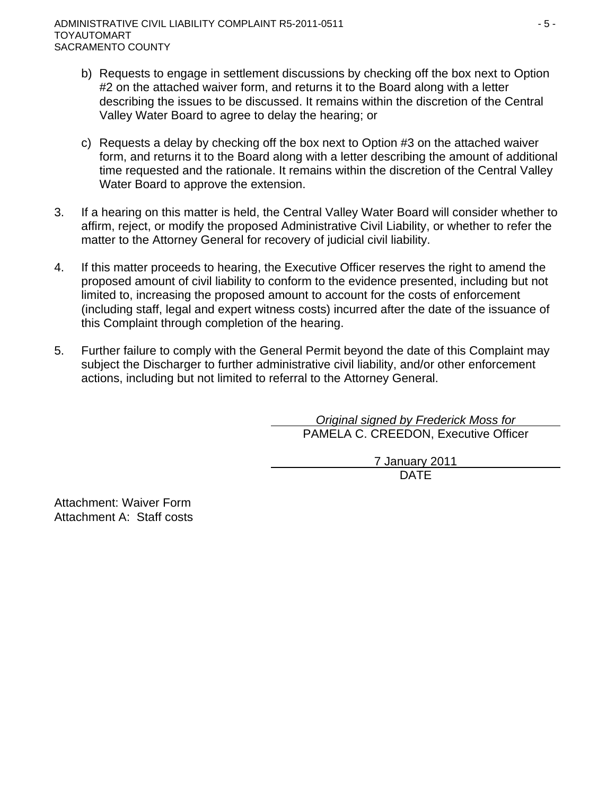- b) Requests to engage in settlement discussions by checking off the box next to Option #2 on the attached waiver form, and returns it to the Board along with a letter describing the issues to be discussed. It remains within the discretion of the Central Valley Water Board to agree to delay the hearing; or
- c) Requests a delay by checking off the box next to Option #3 on the attached waiver form, and returns it to the Board along with a letter describing the amount of additional time requested and the rationale. It remains within the discretion of the Central Valley Water Board to approve the extension.
- 3. If a hearing on this matter is held, the Central Valley Water Board will consider whether to affirm, reject, or modify the proposed Administrative Civil Liability, or whether to refer the matter to the Attorney General for recovery of judicial civil liability.
- 4. If this matter proceeds to hearing, the Executive Officer reserves the right to amend the proposed amount of civil liability to conform to the evidence presented, including but not limited to, increasing the proposed amount to account for the costs of enforcement (including staff, legal and expert witness costs) incurred after the date of the issuance of this Complaint through completion of the hearing.
- 5. Further failure to comply with the General Permit beyond the date of this Complaint may subject the Discharger to further administrative civil liability, and/or other enforcement actions, including but not limited to referral to the Attorney General.

*Original signed by Frederick Moss for* PAMELA C. CREEDON, Executive Officer

7 January 2011 design and the contract of the contract of the DATE of the contract of the contract of the contract of the contract of the contract of the contract of the contract of the contract of the contract of the contract of the con

Attachment: Waiver Form Attachment A: Staff costs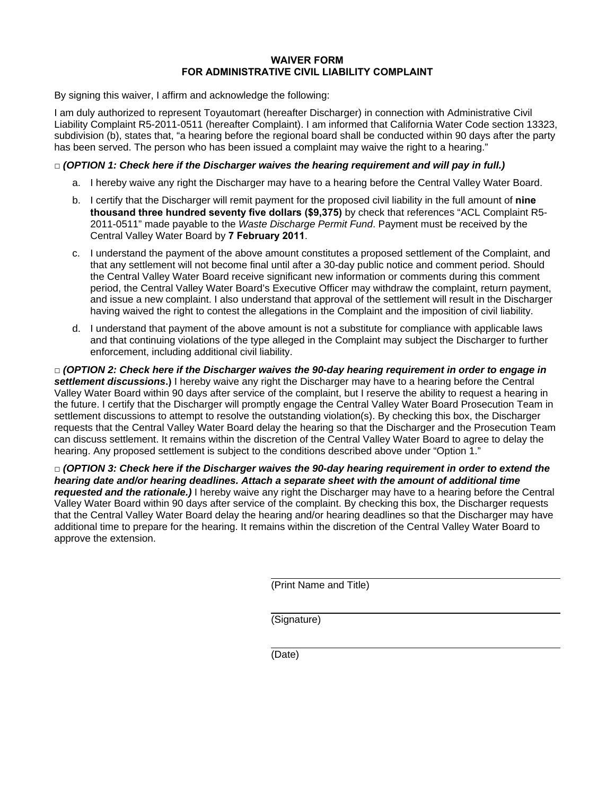#### **WAIVER FORM FOR ADMINISTRATIVE CIVIL LIABILITY COMPLAINT**

By signing this waiver, I affirm and acknowledge the following:

I am duly authorized to represent Toyautomart (hereafter Discharger) in connection with Administrative Civil Liability Complaint R5-2011-0511 (hereafter Complaint). I am informed that California Water Code section 13323, subdivision (b), states that, "a hearing before the regional board shall be conducted within 90 days after the party has been served. The person who has been issued a complaint may waive the right to a hearing."

### **□** *(OPTION 1: Check here if the Discharger waives the hearing requirement and will pay in full.)*

- a. I hereby waive any right the Discharger may have to a hearing before the Central Valley Water Board.
- b. I certify that the Discharger will remit payment for the proposed civil liability in the full amount of **nine thousand three hundred seventy five dollars (\$9,375)** by check that references "ACL Complaint R5- 2011-0511" made payable to the *Waste Discharge Permit Fund*. Payment must be received by the Central Valley Water Board by **7 February 2011**.
- c. I understand the payment of the above amount constitutes a proposed settlement of the Complaint, and that any settlement will not become final until after a 30-day public notice and comment period. Should the Central Valley Water Board receive significant new information or comments during this comment period, the Central Valley Water Board's Executive Officer may withdraw the complaint, return payment, and issue a new complaint. I also understand that approval of the settlement will result in the Discharger having waived the right to contest the allegations in the Complaint and the imposition of civil liability.
- d. I understand that payment of the above amount is not a substitute for compliance with applicable laws and that continuing violations of the type alleged in the Complaint may subject the Discharger to further enforcement, including additional civil liability.

**□** *(OPTION 2: Check here if the Discharger waives the 90-day hearing requirement in order to engage in settlement discussions***.)** I hereby waive any right the Discharger may have to a hearing before the Central Valley Water Board within 90 days after service of the complaint, but I reserve the ability to request a hearing in the future. I certify that the Discharger will promptly engage the Central Valley Water Board Prosecution Team in settlement discussions to attempt to resolve the outstanding violation(s). By checking this box, the Discharger requests that the Central Valley Water Board delay the hearing so that the Discharger and the Prosecution Team can discuss settlement. It remains within the discretion of the Central Valley Water Board to agree to delay the hearing. Any proposed settlement is subject to the conditions described above under "Option 1."

**□** *(OPTION 3: Check here if the Discharger waives the 90-day hearing requirement in order to extend the hearing date and/or hearing deadlines. Attach a separate sheet with the amount of additional time requested and the rationale.)* I hereby waive any right the Discharger may have to a hearing before the Central Valley Water Board within 90 days after service of the complaint. By checking this box, the Discharger requests that the Central Valley Water Board delay the hearing and/or hearing deadlines so that the Discharger may have additional time to prepare for the hearing. It remains within the discretion of the Central Valley Water Board to approve the extension.

(Print Name and Title)

(Signature)

(Date)